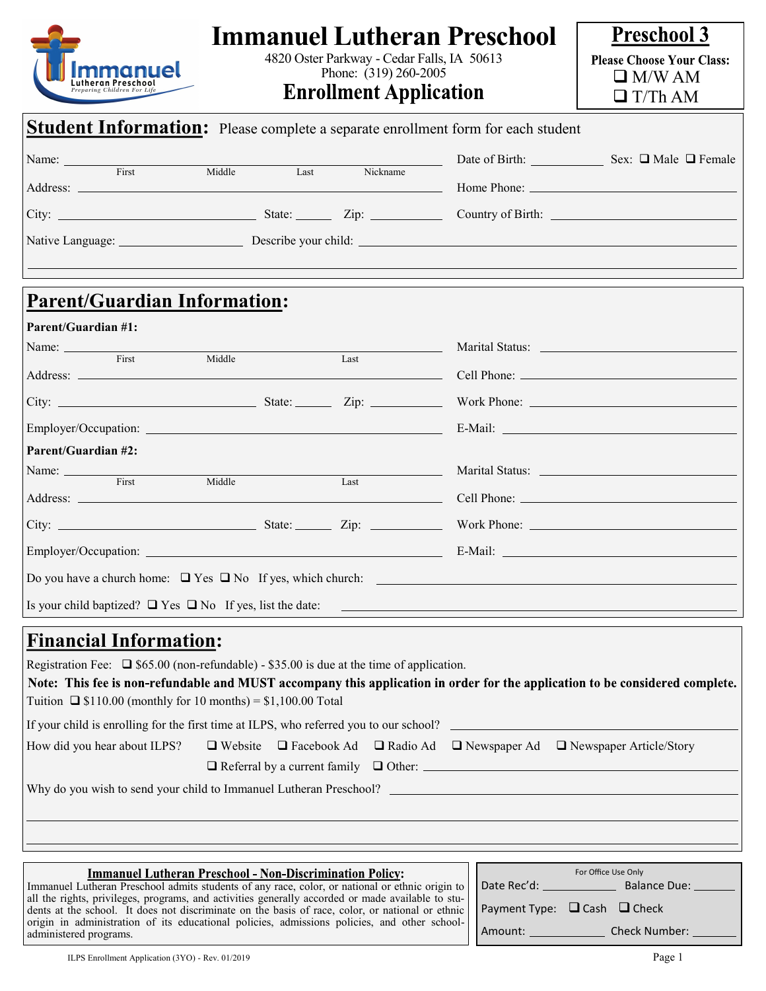| <b>Immanuel Lutheran Preschool</b><br>4820 Oster Parkway - Cedar Falls, IA 50613<br>mmanuel<br>Phone: (319) 260-2005<br><b>Enrollment Application</b>                                                                                                                                                                                                                                                                                                                                                                                                                                                           |                                                                                                                      | <b>Preschool 3</b><br><b>Please Choose Your Class:</b><br>$\Box$ M/W AM<br>$\Box$ T/Th AM |
|-----------------------------------------------------------------------------------------------------------------------------------------------------------------------------------------------------------------------------------------------------------------------------------------------------------------------------------------------------------------------------------------------------------------------------------------------------------------------------------------------------------------------------------------------------------------------------------------------------------------|----------------------------------------------------------------------------------------------------------------------|-------------------------------------------------------------------------------------------|
| <b>Student Information:</b> Please complete a separate enrollment form for each student                                                                                                                                                                                                                                                                                                                                                                                                                                                                                                                         |                                                                                                                      |                                                                                           |
| Name: First<br>t Nickname<br>Last<br>Middle                                                                                                                                                                                                                                                                                                                                                                                                                                                                                                                                                                     |                                                                                                                      | Date of Birth: Sex: □ Male □ Female                                                       |
| <b>Parent/Guardian Information:</b>                                                                                                                                                                                                                                                                                                                                                                                                                                                                                                                                                                             |                                                                                                                      |                                                                                           |
| <b>Parent/Guardian #1:</b><br>Name: First<br>Middle Last<br><b>Parent/Guardian #2:</b><br>Name: First<br>Middle<br>Last                                                                                                                                                                                                                                                                                                                                                                                                                                                                                         |                                                                                                                      |                                                                                           |
|                                                                                                                                                                                                                                                                                                                                                                                                                                                                                                                                                                                                                 |                                                                                                                      |                                                                                           |
| Do you have a church home: $\Box$ Yes $\Box$ No If yes, which church:<br>Is your child baptized? $\Box$ Yes $\Box$ No If yes, list the date:                                                                                                                                                                                                                                                                                                                                                                                                                                                                    | <u> 1980 - Johann Barn, amerikan bernama pendadaran pendadaran pendadaran personal dan pendadaran pendadaran pen</u> |                                                                                           |
| <b>Financial Information:</b><br>Registration Fee: $\Box$ \$65.00 (non-refundable) - \$35.00 is due at the time of application.<br>Note: This fee is non-refundable and MUST accompany this application in order for the application to be considered complete.<br>Tuition $\Box$ \$110.00 (monthly for 10 months) = \$1,100.00 Total<br>$\Box$ Website $\Box$ Facebook Ad $\Box$ Radio Ad $\Box$ Newspaper Ad $\Box$ Newspaper Article/Story<br>How did you hear about ILPS?<br>$\Box$ Referral by a current family $\Box$ Other: $\Box$<br>Why do you wish to send your child to Immanuel Lutheran Preschool? |                                                                                                                      |                                                                                           |

| <b>Immanuel Lutheran Preschool - Non-Discrimination Policy:</b>                                                                                                                                                                      | For Office Use Only |                      |
|--------------------------------------------------------------------------------------------------------------------------------------------------------------------------------------------------------------------------------------|---------------------|----------------------|
| Immanuel Lutheran Preschool admits students of any race, color, or national or ethnic origin to                                                                                                                                      | Date Rec'd:         | <b>Balance Due:</b>  |
| all the rights, privileges, programs, and activities generally accorded or made available to stu-<br>dents at the school. It does not discriminate on the basis of race, color, or national or ethnic   Payment Type: Q Cash Q Check |                     |                      |
| origin in administration of its educational policies, admissions policies, and other school-<br>administered programs.                                                                                                               | Amount:             | <b>Check Number:</b> |